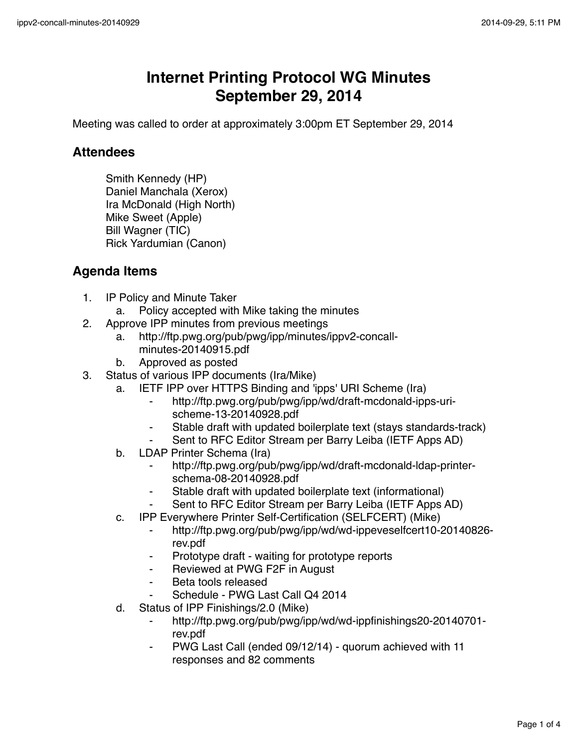## **Internet Printing Protocol WG Minutes September 29, 2014**

Meeting was called to order at approximately 3:00pm ET September 29, 2014

## **Attendees**

Smith Kennedy (HP) Daniel Manchala (Xerox) Ira McDonald (High North) Mike Sweet (Apple) Bill Wagner (TIC) Rick Yardumian (Canon)

## **Agenda Items**

- 1. IP Policy and Minute Taker
	- a. Policy accepted with Mike taking the minutes
- 2. Approve IPP minutes from previous meetings
	- a. http://ftp.pwg.org/pub/pwg/ipp/minutes/ippv2-concallminutes-20140915.pdf
	- b. Approved as posted
- 3. Status of various IPP documents (Ira/Mike)
	- a. IETF IPP over HTTPS Binding and 'ipps' URI Scheme (Ira)
		- ⁃ http://ftp.pwg.org/pub/pwg/ipp/wd/draft-mcdonald-ipps-urischeme-13-20140928.pdf
		- Stable draft with updated boilerplate text (stays standards-track)
		- Sent to RFC Editor Stream per Barry Leiba (IETF Apps AD)
	- b. LDAP Printer Schema (Ira)
		- http://ftp.pwg.org/pub/pwg/ipp/wd/draft-mcdonald-ldap-printerschema-08-20140928.pdf
		- Stable draft with updated boilerplate text (informational)
		- ⁃ Sent to RFC Editor Stream per Barry Leiba (IETF Apps AD)
	- c. IPP Everywhere Printer Self-Certification (SELFCERT) (Mike)
		- ⁃ http://ftp.pwg.org/pub/pwg/ipp/wd/wd-ippeveselfcert10-20140826 rev.pdf
		- Prototype draft waiting for prototype reports
		- ⁃ Reviewed at PWG F2F in August
		- Beta tools released
		- Schedule PWG Last Call Q4 2014
	- d. Status of IPP Finishings/2.0 (Mike)
		- ⁃ http://ftp.pwg.org/pub/pwg/ipp/wd/wd-ippfinishings20-20140701 rev.pdf
		- PWG Last Call (ended 09/12/14) quorum achieved with 11 responses and 82 comments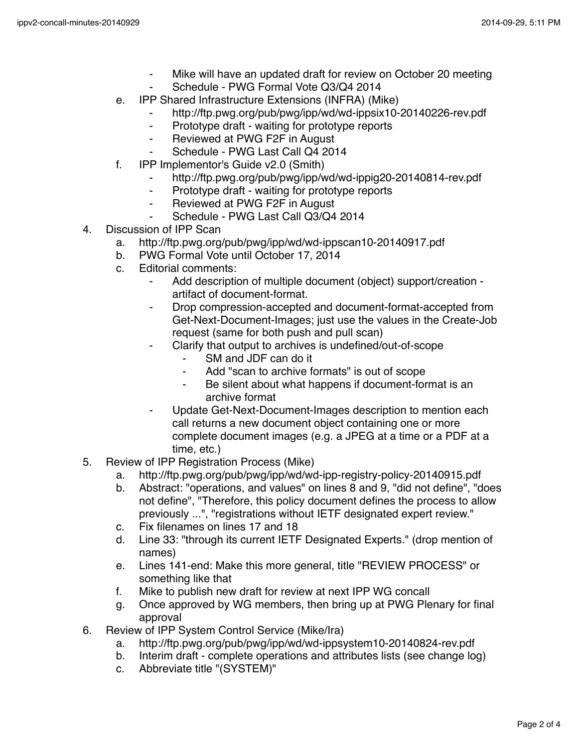- ⁃ Mike will have an updated draft for review on October 20 meeting
- Schedule PWG Formal Vote Q3/Q4 2014
- e. IPP Shared Infrastructure Extensions (INFRA) (Mike)
	- http://ftp.pwg.org/pub/pwg/ipp/wd/wd-ippsix10-20140226-rev.pdf
	- ⁃ Prototype draft waiting for prototype reports
	- ⁃ Reviewed at PWG F2F in August
	- Schedule PWG Last Call Q4 2014
- f. IPP Implementor's Guide v2.0 (Smith)
	- http://ftp.pwg.org/pub/pwg/ipp/wd/wd-ippig20-20140814-rev.pdf
	- ⁃ Prototype draft waiting for prototype reports
	- ⁃ Reviewed at PWG F2F in August
	- Schedule PWG Last Call Q3/Q4 2014
- 4. Discussion of IPP Scan
	- a. http://ftp.pwg.org/pub/pwg/ipp/wd/wd-ippscan10-20140917.pdf
	- b. PWG Formal Vote until October 17, 2014
	- c. Editorial comments:
		- ⁃ Add description of multiple document (object) support/creation artifact of document-format.
		- Drop compression-accepted and document-format-accepted from Get-Next-Document-Images; just use the values in the Create-Job request (same for both push and pull scan)
		- Clarify that output to archives is undefined/out-of-scope
			- SM and JDF can do it
			- Add "scan to archive formats" is out of scope
			- ⁃ Be silent about what happens if document-format is an archive format
		- Update Get-Next-Document-Images description to mention each call returns a new document object containing one or more complete document images (e.g. a JPEG at a time or a PDF at a time, etc.)
- 5. Review of IPP Registration Process (Mike)
	- a. http://ftp.pwg.org/pub/pwg/ipp/wd/wd-ipp-registry-policy-20140915.pdf
	- b. Abstract: "operations, and values" on lines 8 and 9, "did not define", "does not define", "Therefore, this policy document defines the process to allow previously ...", "registrations without IETF designated expert review."
	- c. Fix filenames on lines 17 and 18
	- d. Line 33: "through its current IETF Designated Experts." (drop mention of names)
	- e. Lines 141-end: Make this more general, title "REVIEW PROCESS" or something like that
	- f. Mike to publish new draft for review at next IPP WG concall
	- g. Once approved by WG members, then bring up at PWG Plenary for final approval
- 6. Review of IPP System Control Service (Mike/Ira)
	- a. http://ftp.pwg.org/pub/pwg/ipp/wd/wd-ippsystem10-20140824-rev.pdf
	- b. Interim draft complete operations and attributes lists (see change log)
	- c. Abbreviate title "(SYSTEM)"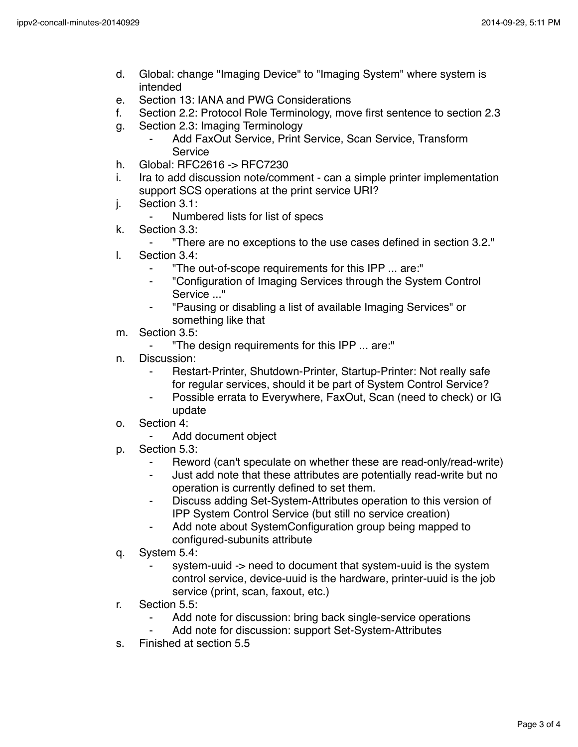- d. Global: change "Imaging Device" to "Imaging System" where system is intended
- e. Section 13: IANA and PWG Considerations
- f. Section 2.2: Protocol Role Terminology, move first sentence to section 2.3
- g. Section 2.3: Imaging Terminology
	- Add FaxOut Service, Print Service, Scan Service, Transform Service
- h. Global: RFC2616 -> RFC7230
- i. Ira to add discussion note/comment can a simple printer implementation support SCS operations at the print service URI?
- j. Section 3.1:
	- ⁃ Numbered lists for list of specs
- k. Section 3.3:
	- ⁃ "There are no exceptions to the use cases defined in section 3.2."
- l. Section 3.4:
	- ⁃ "The out-of-scope requirements for this IPP ... are:"
	- ⁃ "Configuration of Imaging Services through the System Control Service ..."
	- ⁃ "Pausing or disabling a list of available Imaging Services" or something like that
- m. Section 3.5:
	- ⁃ "The design requirements for this IPP ... are:"
- n. Discussion:
	- Restart-Printer, Shutdown-Printer, Startup-Printer: Not really safe for regular services, should it be part of System Control Service?
	- Possible errata to Everywhere, FaxOut, Scan (need to check) or IG update
- o. Section 4:
	- Add document object
- p. Section 5.3:
	- Reword (can't speculate on whether these are read-only/read-write)
	- ⁃ Just add note that these attributes are potentially read-write but no operation is currently defined to set them.
	- Discuss adding Set-System-Attributes operation to this version of IPP System Control Service (but still no service creation)
	- Add note about SystemConfiguration group being mapped to configured-subunits attribute
- q. System 5.4:
	- system-uuid -> need to document that system-uuid is the system control service, device-uuid is the hardware, printer-uuid is the job service (print, scan, faxout, etc.)
- r. Section 5.5:
	- Add note for discussion: bring back single-service operations
		- Add note for discussion: support Set-System-Attributes
- s. Finished at section 5.5